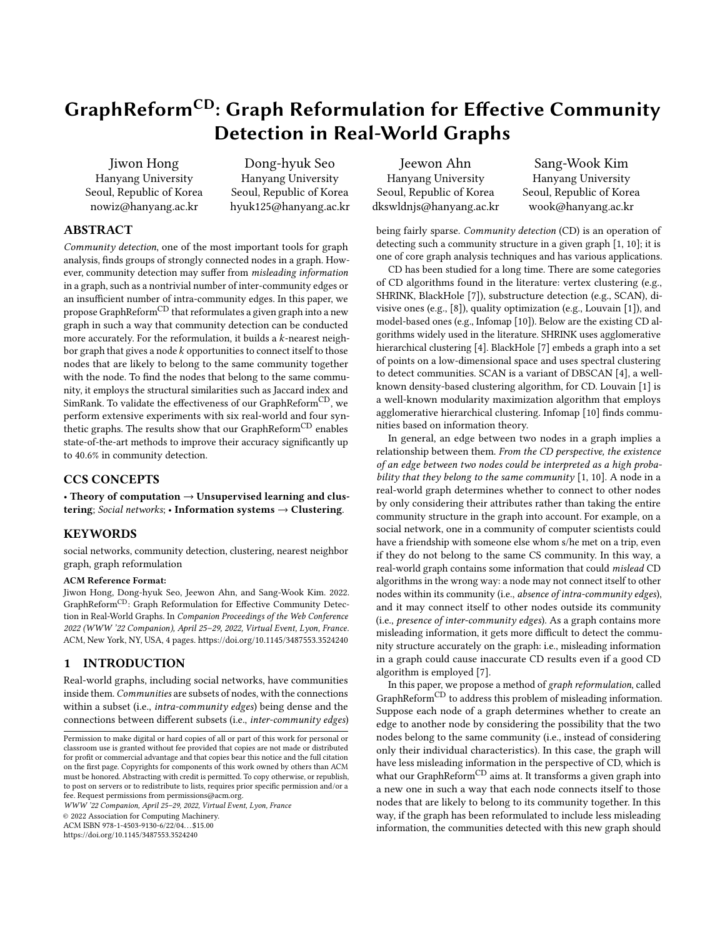# GraphReformCD: Graph Reformulation for Effective Community Detection in Real-World Graphs

[Jiwon Hong](https://orcid.org/0000-0001-8664-3258) Hanyang University Seoul, Republic of Korea nowiz@hanyang.ac.kr

Dong-hyuk Seo Hanyang University Seoul, Republic of Korea hyuk125@hanyang.ac.kr

# ABSTRACT

Community detection, one of the most important tools for graph analysis, finds groups of strongly connected nodes in a graph. However, community detection may suffer from misleading information in a graph, such as a nontrivial number of inter-community edges or an insufficient number of intra-community edges. In this paper, we propose GraphReform<sup>CD</sup> that reformulates a given graph into a new graph in such a way that community detection can be conducted more accurately. For the reformulation, it builds a  $k$ -nearest neighbor graph that gives a node  $k$  opportunities to connect itself to those nodes that are likely to belong to the same community together with the node. To find the nodes that belong to the same community, it employs the structural similarities such as Jaccard index and SimRank. To validate the effectiveness of our GraphReform<sup>CD</sup>, we perform extensive experiments with six real-world and four synthetic graphs. The results show that our GraphReform<sup>CD</sup> enables state-of-the-art methods to improve their accuracy significantly up to 40.6% in community detection.

## CCS CONCEPTS

• Theory of computation  $\rightarrow$  Unsupervised learning and clustering; Social networks; • Information systems  $\rightarrow$  Clustering.

#### KEYWORDS

social networks, community detection, clustering, nearest neighbor graph, graph reformulation

#### ACM Reference Format:

Jiwon Hong, Dong-hyuk Seo, Jeewon Ahn, and Sang-Wook Kim. 2022. GraphReformCD: Graph Reformulation for Effective Community Detection in Real-World Graphs. In Companion Proceedings of the Web Conference 2022 (WWW '22 Companion), April 25–29, 2022, Virtual Event, Lyon, France. ACM, New York, NY, USA, [4](#page-3-0) pages.<https://doi.org/10.1145/3487553.3524240>

# 1 INTRODUCTION

Real-world graphs, including social networks, have communities inside them. Communities are subsets of nodes, with the connections within a subset (i.e., *intra-community edges*) being dense and the connections between different subsets (i.e., inter-community edges)

WWW '22 Companion, April 25–29, 2022, Virtual Event, Lyon, France

© 2022 Association for Computing Machinery.

ACM ISBN 978-1-4503-9130-6/22/04. . . \$15.00

<https://doi.org/10.1145/3487553.3524240>

Jeewon Ahn Hanyang University Seoul, Republic of Korea dkswldnjs@hanyang.ac.kr

[Sang-Wook Kim](https://orcid.org/0000-0002-6345-9084) Hanyang University Seoul, Republic of Korea wook@hanyang.ac.kr

being fairly sparse. Community detection (CD) is an operation of detecting such a community structure in a given graph [\[1,](#page-3-1) [10\]](#page-3-2); it is one of core graph analysis techniques and has various applications.

CD has been studied for a long time. There are some categories of CD algorithms found in the literature: vertex clustering (e.g., SHRINK, BlackHole [\[7\]](#page-3-3)), substructure detection (e.g., SCAN), divisive ones (e.g., [\[8\]](#page-3-4)), quality optimization (e.g., Louvain [\[1\]](#page-3-1)), and model-based ones (e.g., Infomap [\[10\]](#page-3-2)). Below are the existing CD algorithms widely used in the literature. SHRINK uses agglomerative hierarchical clustering [\[4\]](#page-3-5). BlackHole [\[7\]](#page-3-3) embeds a graph into a set of points on a low-dimensional space and uses spectral clustering to detect communities. SCAN is a variant of DBSCAN [\[4\]](#page-3-5), a wellknown density-based clustering algorithm, for CD. Louvain [\[1\]](#page-3-1) is a well-known modularity maximization algorithm that employs agglomerative hierarchical clustering. Infomap [\[10\]](#page-3-2) finds communities based on information theory.

In general, an edge between two nodes in a graph implies a relationship between them. From the CD perspective, the existence of an edge between two nodes could be interpreted as a high probability that they belong to the same community  $[1, 10]$  $[1, 10]$  $[1, 10]$ . A node in a real-world graph determines whether to connect to other nodes by only considering their attributes rather than taking the entire community structure in the graph into account. For example, on a social network, one in a community of computer scientists could have a friendship with someone else whom s/he met on a trip, even if they do not belong to the same CS community. In this way, a real-world graph contains some information that could mislead CD algorithms in the wrong way: a node may not connect itself to other nodes within its community (i.e., absence of intra-community edges), and it may connect itself to other nodes outside its community (i.e., presence of inter-community edges). As a graph contains more misleading information, it gets more difficult to detect the community structure accurately on the graph: i.e., misleading information in a graph could cause inaccurate CD results even if a good CD algorithm is employed [\[7\]](#page-3-3).

In this paper, we propose a method of graph reformulation, called GraphReform<sup>CD</sup> to address this problem of misleading information. Suppose each node of a graph determines whether to create an edge to another node by considering the possibility that the two nodes belong to the same community (i.e., instead of considering only their individual characteristics). In this case, the graph will have less misleading information in the perspective of CD, which is what our GraphReform<sup>CD</sup> aims at. It transforms a given graph into a new one in such a way that each node connects itself to those nodes that are likely to belong to its community together. In this way, if the graph has been reformulated to include less misleading information, the communities detected with this new graph should

Permission to make digital or hard copies of all or part of this work for personal or classroom use is granted without fee provided that copies are not made or distributed for profit or commercial advantage and that copies bear this notice and the full citation on the first page. Copyrights for components of this work owned by others than ACM must be honored. Abstracting with credit is permitted. To copy otherwise, or republish, to post on servers or to redistribute to lists, requires prior specific permission and/or a fee. Request permissions from permissions@acm.org.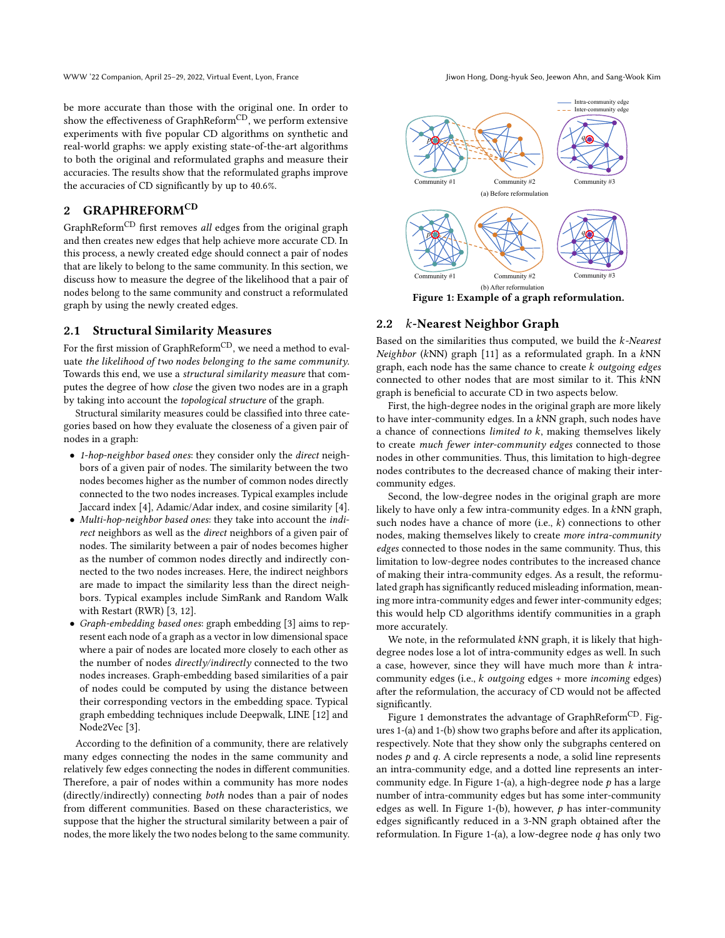be more accurate than those with the original one. In order to show the effectiveness of GraphReform<sup>CD</sup>, we perform extensive experiments with five popular CD algorithms on synthetic and real-world graphs: we apply existing state-of-the-art algorithms to both the original and reformulated graphs and measure their accuracies. The results show that the reformulated graphs improve the accuracies of CD significantly by up to 40.6%.

# 2 GRAPHREFORMCD

 $\mbox{GraphReform}^{\mbox{CD}}$  first removes  $\emph{all}$  edges from the original graph and then creates new edges that help achieve more accurate CD. In this process, a newly created edge should connect a pair of nodes that are likely to belong to the same community. In this section, we discuss how to measure the degree of the likelihood that a pair of nodes belong to the same community and construct a reformulated graph by using the newly created edges.

# 2.1 Structural Similarity Measures

For the first mission of GraphReform<sup>CD</sup>, we need a method to evaluate the likelihood of two nodes belonging to the same community. Towards this end, we use a structural similarity measure that computes the degree of how close the given two nodes are in a graph by taking into account the topological structure of the graph.

Structural similarity measures could be classified into three categories based on how they evaluate the closeness of a given pair of nodes in a graph:

- 1-hop-neighbor based ones: they consider only the direct neighbors of a given pair of nodes. The similarity between the two nodes becomes higher as the number of common nodes directly connected to the two nodes increases. Typical examples include Jaccard index [\[4\]](#page-3-5), Adamic/Adar index, and cosine similarity [\[4\]](#page-3-5).
- Multi-hop-neighbor based ones: they take into account the indirect neighbors as well as the direct neighbors of a given pair of nodes. The similarity between a pair of nodes becomes higher as the number of common nodes directly and indirectly connected to the two nodes increases. Here, the indirect neighbors are made to impact the similarity less than the direct neighbors. Typical examples include SimRank and Random Walk with Restart (RWR) [\[3,](#page-3-6) [12\]](#page-3-7).
- Graph-embedding based ones: graph embedding [\[3\]](#page-3-6) aims to represent each node of a graph as a vector in low dimensional space where a pair of nodes are located more closely to each other as the number of nodes *directly/indirectly* connected to the two nodes increases. Graph-embedding based similarities of a pair of nodes could be computed by using the distance between their corresponding vectors in the embedding space. Typical graph embedding techniques include Deepwalk, LINE [\[12\]](#page-3-7) and Node2Vec [\[3\]](#page-3-6).

According to the definition of a community, there are relatively many edges connecting the nodes in the same community and relatively few edges connecting the nodes in different communities. Therefore, a pair of nodes within a community has more nodes (directly/indirectly) connecting both nodes than a pair of nodes from different communities. Based on these characteristics, we suppose that the higher the structural similarity between a pair of nodes, the more likely the two nodes belong to the same community.

<span id="page-1-0"></span>

Figure 1: Example of a graph reformulation.

#### 2.2 k-Nearest Neighbor Graph

Based on the similarities thus computed, we build the  $k$ -Nearest Neighbor (kNN) graph [\[11\]](#page-3-8) as a reformulated graph. In a  $kNN$ graph, each node has the same chance to create  $k$  outgoing edges connected to other nodes that are most similar to it. This kNN graph is beneficial to accurate CD in two aspects below.

First, the high-degree nodes in the original graph are more likely to have inter-community edges. In a  $kNN$  graph, such nodes have a chance of connections *limited to*  $k$ , making themselves likely to create much fewer inter-community edges connected to those nodes in other communities. Thus, this limitation to high-degree nodes contributes to the decreased chance of making their intercommunity edges.

Second, the low-degree nodes in the original graph are more likely to have only a few intra-community edges. In a kNN graph, such nodes have a chance of more (i.e.,  $k$ ) connections to other nodes, making themselves likely to create more intra-community edges connected to those nodes in the same community. Thus, this limitation to low-degree nodes contributes to the increased chance of making their intra-community edges. As a result, the reformulated graph has significantly reduced misleading information, meaning more intra-community edges and fewer inter-community edges; this would help CD algorithms identify communities in a graph more accurately.

We note, in the reformulated  $kNN$  graph, it is likely that highdegree nodes lose a lot of intra-community edges as well. In such a case, however, since they will have much more than  $k$  intracommunity edges (i.e.,  $k$  outgoing edges + more incoming edges) after the reformulation, the accuracy of CD would not be affected significantly.

Figure [1](#page-1-0) demonstrates the advantage of GraphReform<sup>CD</sup>. Figures [1-](#page-1-0)(a) and [1-](#page-1-0)(b) show two graphs before and after its application, respectively. Note that they show only the subgraphs centered on nodes  $p$  and  $q$ . A circle represents a node, a solid line represents an intra-community edge, and a dotted line represents an inter-community edge. In Figure [1-](#page-1-0)(a), a high-degree node  $p$  has a large number of intra-community edges but has some inter-community edges as well. In Figure [1-](#page-1-0)(b), however,  $p$  has inter-community edges significantly reduced in a 3-NN graph obtained after the reformulation. In Figure [1-](#page-1-0)(a), a low-degree node  $q$  has only two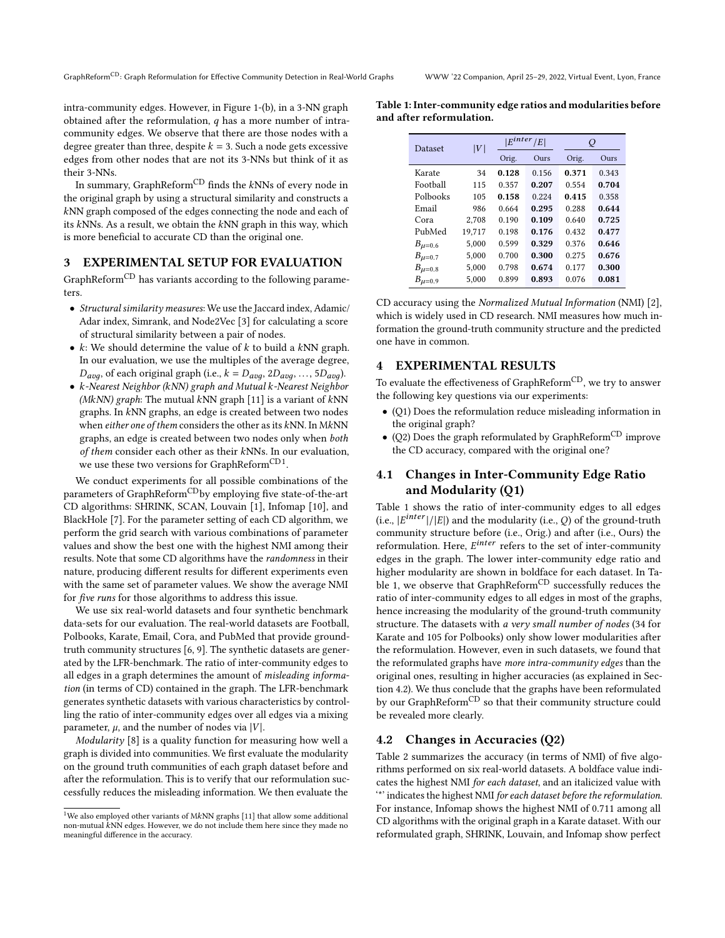intra-community edges. However, in Figure [1-](#page-1-0)(b), in a 3-NN graph obtained after the reformulation,  $q$  has a more number of intracommunity edges. We observe that there are those nodes with a degree greater than three, despite  $k = 3$ . Such a node gets excessive edges from other nodes that are not its 3-NNs but think of it as their 3-NNs.

In summary, GraphReform<sup>CD</sup> finds the  $kNNs$  of every node in the original graph by using a structural similarity and constructs a NN graph composed of the edges connecting the node and each of its  $kNNs$ . As a result, we obtain the  $kNN$  graph in this way, which is more beneficial to accurate CD than the original one.

#### 3 EXPERIMENTAL SETUP FOR EVALUATION

GraphReform<sup>CD</sup> has variants according to the following parameters.

- Structural similarity measures: We use the Jaccard index, Adamic/ Adar index, Simrank, and Node2Vec [\[3\]](#page-3-6) for calculating a score of structural similarity between a pair of nodes.
- $k$ : We should determine the value of  $k$  to build a  $kNN$  graph. In our evaluation, we use the multiples of the average degree,  $D_{avg}$ , of each original graph (i.e.,  $k = D_{avg}$ , 2 $D_{avg}$ , ..., 5 $D_{avg}$ ).
- k-Nearest Neighbor (kNN) graph and Mutual k-Nearest Neighbor (MkNN) graph: The mutual kNN graph [\[11\]](#page-3-8) is a variant of kNN graphs. In kNN graphs, an edge is created between two nodes when either one of them considers the other as its  $kNN$ . In M $kNN$ graphs, an edge is created between two nodes only when both of them consider each other as their kNNs. In our evaluation, we use these two versions for GraphReform $^{\rm CD1}.$  $^{\rm CD1}.$  $^{\rm CD1}.$

We conduct experiments for all possible combinations of the parameters of GraphReform<sup>CD</sup>by employing five state-of-the-art CD algorithms: SHRINK, SCAN, Louvain [\[1\]](#page-3-1), Infomap [\[10\]](#page-3-2), and BlackHole [\[7\]](#page-3-3). For the parameter setting of each CD algorithm, we perform the grid search with various combinations of parameter values and show the best one with the highest NMI among their results. Note that some CD algorithms have the randomness in their nature, producing different results for different experiments even with the same set of parameter values. We show the average NMI for five runs for those algorithms to address this issue.

We use six real-world datasets and four synthetic benchmark data-sets for our evaluation. The real-world datasets are Football, Polbooks, Karate, Email, Cora, and PubMed that provide groundtruth community structures [\[6,](#page-3-9) [9\]](#page-3-10). The synthetic datasets are generated by the LFR-benchmark. The ratio of inter-community edges to all edges in a graph determines the amount of misleading information (in terms of CD) contained in the graph. The LFR-benchmark generates synthetic datasets with various characteristics by controlling the ratio of inter-community edges over all edges via a mixing parameter,  $\mu$ , and the number of nodes via |V|.

Modularity [\[8\]](#page-3-4) is a quality function for measuring how well a graph is divided into communities. We first evaluate the modularity on the ground truth communities of each graph dataset before and after the reformulation. This is to verify that our reformulation successfully reduces the misleading information. We then evaluate the

<span id="page-2-1"></span>Table 1: Inter-community edge ratios and modularities before and after reformulation.

| Dataset       | V      | $E^{inter}$ | E     | Q     |       |
|---------------|--------|-------------|-------|-------|-------|
|               |        | Orig.       | Ours  | Orig. | Ours  |
| Karate        | 34     | 0.128       | 0.156 | 0.371 | 0.343 |
| Football      | 115    | 0.357       | 0.207 | 0.554 | 0.704 |
| Polbooks      | 105    | 0.158       | 0.224 | 0.415 | 0.358 |
| Email         | 986    | 0.664       | 0.295 | 0.288 | 0.644 |
| Cora          | 2,708  | 0.190       | 0.109 | 0.640 | 0.725 |
| PubMed        | 19,717 | 0.198       | 0.176 | 0.432 | 0.477 |
| $B_{\mu=0.6}$ | 5.000  | 0.599       | 0.329 | 0.376 | 0.646 |
| $B_{\mu=0.7}$ | 5.000  | 0.700       | 0.300 | 0.275 | 0.676 |
| $B_{\mu=0.8}$ | 5.000  | 0.798       | 0.674 | 0.177 | 0.300 |
| $B_{\mu=0.9}$ | 5,000  | 0.899       | 0.893 | 0.076 | 0.081 |

CD accuracy using the Normalized Mutual Information (NMI) [\[2\]](#page-3-11), which is widely used in CD research. NMI measures how much information the ground-truth community structure and the predicted one have in common.

# EXPERIMENTAL RESULTS

To evaluate the effectiveness of GraphReform<sup>CD</sup>, we try to answer the following key questions via our experiments:

- (Q1) Does the reformulation reduce misleading information in the original graph?
- (Q2) Does the graph reformulated by GraphReform<sup>CD</sup> improve the CD accuracy, compared with the original one?

# 4.1 Changes in Inter-Community Edge Ratio and Modularity (Q1)

Table [1](#page-2-1) shows the ratio of inter-community edges to all edges (i.e.,  $|E^{inter}|/|E|$ ) and the modularity (i.e., Q) of the ground-truth community structure before (i.e., Orig.) and after (i.e., Ours) the reformulation. Here,  $E^{inter}$  refers to the set of inter-community edges in the graph. The lower inter-community edge ratio and higher modularity are shown in boldface for each dataset. In Ta-ble [1,](#page-2-1) we observe that GraphReform<sup>CD</sup> successfully reduces the ratio of inter-community edges to all edges in most of the graphs, hence increasing the modularity of the ground-truth community structure. The datasets with a very small number of nodes (34 for Karate and 105 for Polbooks) only show lower modularities after the reformulation. However, even in such datasets, we found that the reformulated graphs have more intra-community edges than the original ones, resulting in higher accuracies (as explained in Section [4.2\)](#page-2-2). We thus conclude that the graphs have been reformulated by our GraphReform<sup>CD</sup> so that their community structure could be revealed more clearly.

#### <span id="page-2-2"></span>4.2 Changes in Accuracies (Q2)

Table [2](#page-3-12) summarizes the accuracy (in terms of NMI) of five algorithms performed on six real-world datasets. A boldface value indicates the highest NMI for each dataset, and an italicized value with '\*' indicates the highest NMI for each dataset before the reformulation. For instance, Infomap shows the highest NMI of 0.711 among all CD algorithms with the original graph in a Karate dataset. With our reformulated graph, SHRINK, Louvain, and Infomap show perfect

<span id="page-2-0"></span><sup>&</sup>lt;sup>1</sup>We also employed other variants of MkNN graphs [\[11\]](#page-3-8) that allow some additional non-mutual  $kNN$  edges. However, we do not include them here since they made no meaningful difference in the accuracy.